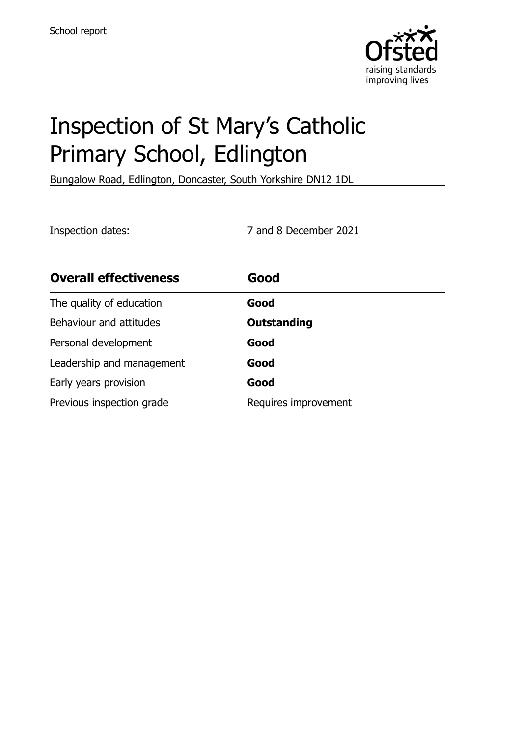

# Inspection of St Mary's Catholic Primary School, Edlington

Bungalow Road, Edlington, Doncaster, South Yorkshire DN12 1DL

Inspection dates: 7 and 8 December 2021

| <b>Overall effectiveness</b> | Good                 |
|------------------------------|----------------------|
| The quality of education     | Good                 |
| Behaviour and attitudes      | <b>Outstanding</b>   |
| Personal development         | Good                 |
| Leadership and management    | Good                 |
| Early years provision        | Good                 |
| Previous inspection grade    | Requires improvement |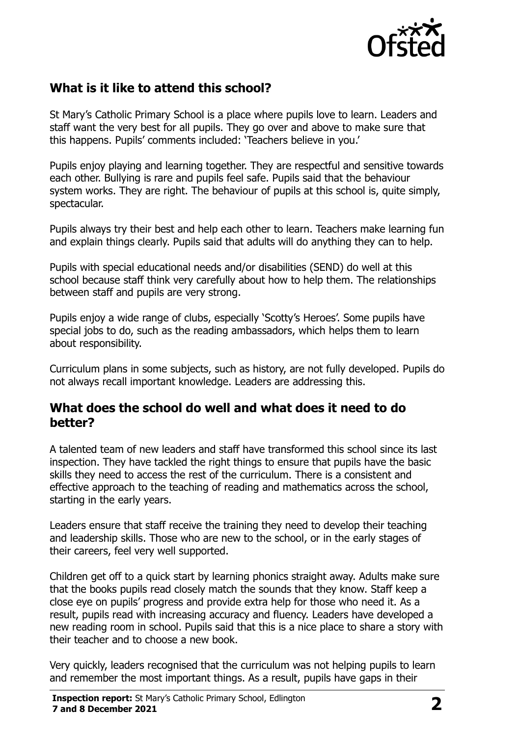

## **What is it like to attend this school?**

St Mary's Catholic Primary School is a place where pupils love to learn. Leaders and staff want the very best for all pupils. They go over and above to make sure that this happens. Pupils' comments included: 'Teachers believe in you.'

Pupils enjoy playing and learning together. They are respectful and sensitive towards each other. Bullying is rare and pupils feel safe. Pupils said that the behaviour system works. They are right. The behaviour of pupils at this school is, quite simply, spectacular.

Pupils always try their best and help each other to learn. Teachers make learning fun and explain things clearly. Pupils said that adults will do anything they can to help.

Pupils with special educational needs and/or disabilities (SEND) do well at this school because staff think very carefully about how to help them. The relationships between staff and pupils are very strong.

Pupils enjoy a wide range of clubs, especially 'Scotty's Heroes'. Some pupils have special jobs to do, such as the reading ambassadors, which helps them to learn about responsibility.

Curriculum plans in some subjects, such as history, are not fully developed. Pupils do not always recall important knowledge. Leaders are addressing this.

#### **What does the school do well and what does it need to do better?**

A talented team of new leaders and staff have transformed this school since its last inspection. They have tackled the right things to ensure that pupils have the basic skills they need to access the rest of the curriculum. There is a consistent and effective approach to the teaching of reading and mathematics across the school, starting in the early years.

Leaders ensure that staff receive the training they need to develop their teaching and leadership skills. Those who are new to the school, or in the early stages of their careers, feel very well supported.

Children get off to a quick start by learning phonics straight away. Adults make sure that the books pupils read closely match the sounds that they know. Staff keep a close eye on pupils' progress and provide extra help for those who need it. As a result, pupils read with increasing accuracy and fluency. Leaders have developed a new reading room in school. Pupils said that this is a nice place to share a story with their teacher and to choose a new book.

Very quickly, leaders recognised that the curriculum was not helping pupils to learn and remember the most important things. As a result, pupils have gaps in their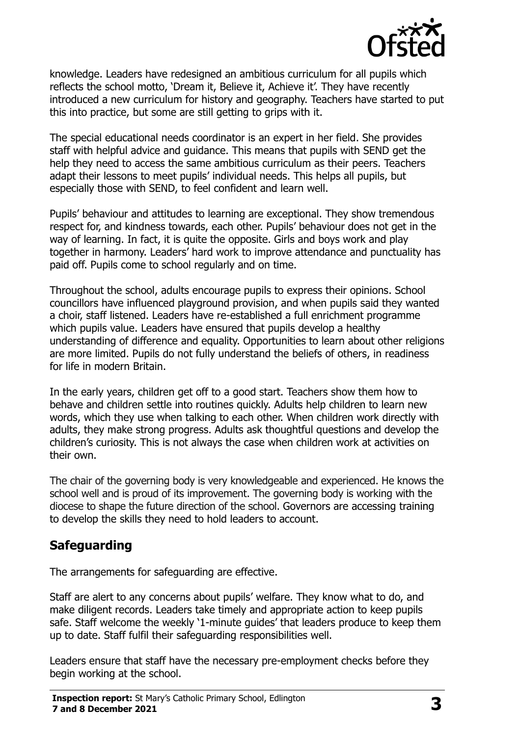

knowledge. Leaders have redesigned an ambitious curriculum for all pupils which reflects the school motto, 'Dream it, Believe it, Achieve it'. They have recently introduced a new curriculum for history and geography. Teachers have started to put this into practice, but some are still getting to grips with it.

The special educational needs coordinator is an expert in her field. She provides staff with helpful advice and guidance. This means that pupils with SEND get the help they need to access the same ambitious curriculum as their peers. Teachers adapt their lessons to meet pupils' individual needs. This helps all pupils, but especially those with SEND, to feel confident and learn well.

Pupils' behaviour and attitudes to learning are exceptional. They show tremendous respect for, and kindness towards, each other. Pupils' behaviour does not get in the way of learning. In fact, it is quite the opposite. Girls and boys work and play together in harmony. Leaders' hard work to improve attendance and punctuality has paid off. Pupils come to school regularly and on time.

Throughout the school, adults encourage pupils to express their opinions. School councillors have influenced playground provision, and when pupils said they wanted a choir, staff listened. Leaders have re-established a full enrichment programme which pupils value. Leaders have ensured that pupils develop a healthy understanding of difference and equality. Opportunities to learn about other religions are more limited. Pupils do not fully understand the beliefs of others, in readiness for life in modern Britain.

In the early years, children get off to a good start. Teachers show them how to behave and children settle into routines quickly. Adults help children to learn new words, which they use when talking to each other. When children work directly with adults, they make strong progress. Adults ask thoughtful questions and develop the children's curiosity. This is not always the case when children work at activities on their own.

The chair of the governing body is very knowledgeable and experienced. He knows the school well and is proud of its improvement. The governing body is working with the diocese to shape the future direction of the school. Governors are accessing training to develop the skills they need to hold leaders to account.

# **Safeguarding**

The arrangements for safeguarding are effective.

Staff are alert to any concerns about pupils' welfare. They know what to do, and make diligent records. Leaders take timely and appropriate action to keep pupils safe. Staff welcome the weekly '1-minute guides' that leaders produce to keep them up to date. Staff fulfil their safeguarding responsibilities well.

Leaders ensure that staff have the necessary pre-employment checks before they begin working at the school.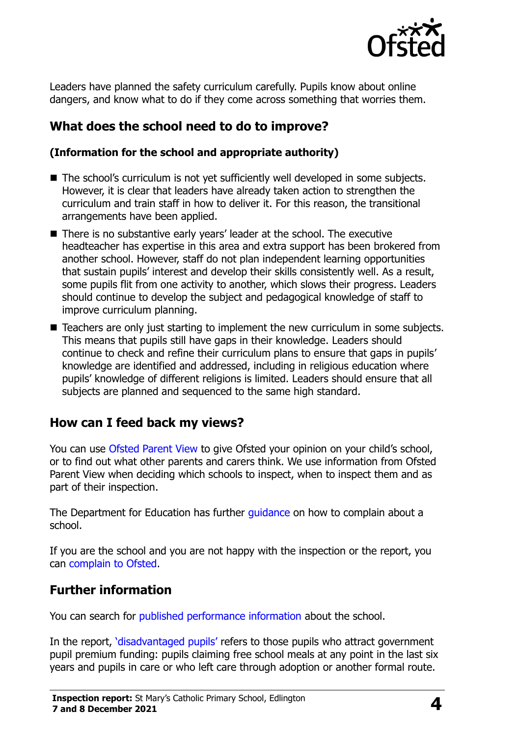

Leaders have planned the safety curriculum carefully. Pupils know about online dangers, and know what to do if they come across something that worries them.

### **What does the school need to do to improve?**

#### **(Information for the school and appropriate authority)**

- The school's curriculum is not vet sufficiently well developed in some subjects. However, it is clear that leaders have already taken action to strengthen the curriculum and train staff in how to deliver it. For this reason, the transitional arrangements have been applied.
- There is no substantive early years' leader at the school. The executive headteacher has expertise in this area and extra support has been brokered from another school. However, staff do not plan independent learning opportunities that sustain pupils' interest and develop their skills consistently well. As a result, some pupils flit from one activity to another, which slows their progress. Leaders should continue to develop the subject and pedagogical knowledge of staff to improve curriculum planning.
- Teachers are only just starting to implement the new curriculum in some subjects. This means that pupils still have gaps in their knowledge. Leaders should continue to check and refine their curriculum plans to ensure that gaps in pupils' knowledge are identified and addressed, including in religious education where pupils' knowledge of different religions is limited. Leaders should ensure that all subjects are planned and sequenced to the same high standard.

#### **How can I feed back my views?**

You can use [Ofsted Parent View](http://parentview.ofsted.gov.uk/) to give Ofsted your opinion on your child's school, or to find out what other parents and carers think. We use information from Ofsted Parent View when deciding which schools to inspect, when to inspect them and as part of their inspection.

The Department for Education has further quidance on how to complain about a school.

If you are the school and you are not happy with the inspection or the report, you can [complain to Ofsted.](http://www.gov.uk/complain-ofsted-report)

#### **Further information**

You can search for [published performance information](http://www.compare-school-performance.service.gov.uk/) about the school.

In the report, '[disadvantaged pupils](http://www.gov.uk/guidance/pupil-premium-information-for-schools-and-alternative-provision-settings)' refers to those pupils who attract government pupil premium funding: pupils claiming free school meals at any point in the last six years and pupils in care or who left care through adoption or another formal route.

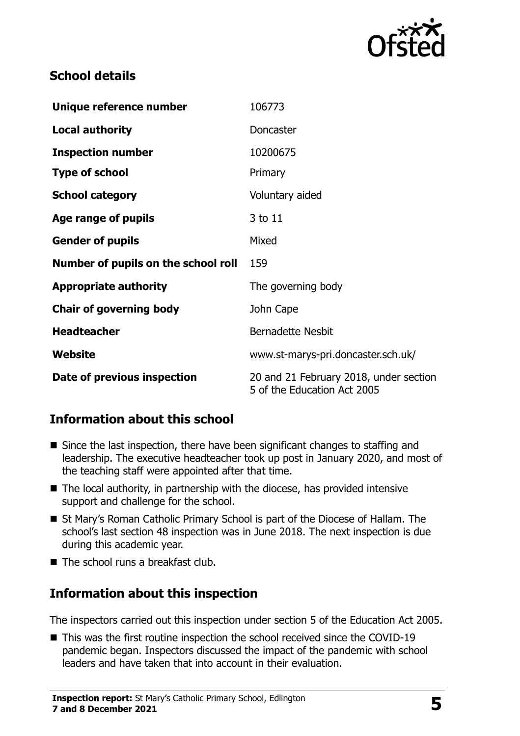

### **School details**

| Unique reference number             | 106773                                                                |  |
|-------------------------------------|-----------------------------------------------------------------------|--|
| <b>Local authority</b>              | Doncaster                                                             |  |
| <b>Inspection number</b>            | 10200675                                                              |  |
| <b>Type of school</b>               | Primary                                                               |  |
| <b>School category</b>              | Voluntary aided                                                       |  |
| Age range of pupils                 | 3 to 11                                                               |  |
| <b>Gender of pupils</b>             | Mixed                                                                 |  |
| Number of pupils on the school roll | 159                                                                   |  |
| <b>Appropriate authority</b>        | The governing body                                                    |  |
| <b>Chair of governing body</b>      | John Cape                                                             |  |
| <b>Headteacher</b>                  | <b>Bernadette Nesbit</b>                                              |  |
| Website                             | www.st-marys-pri.doncaster.sch.uk/                                    |  |
| Date of previous inspection         | 20 and 21 February 2018, under section<br>5 of the Education Act 2005 |  |

## **Information about this school**

- Since the last inspection, there have been significant changes to staffing and leadership. The executive headteacher took up post in January 2020, and most of the teaching staff were appointed after that time.
- The local authority, in partnership with the diocese, has provided intensive support and challenge for the school.
- St Mary's Roman Catholic Primary School is part of the Diocese of Hallam. The school's last section 48 inspection was in June 2018. The next inspection is due during this academic year.
- The school runs a breakfast club.

# **Information about this inspection**

The inspectors carried out this inspection under section 5 of the Education Act 2005.

■ This was the first routine inspection the school received since the COVID-19 pandemic began. Inspectors discussed the impact of the pandemic with school leaders and have taken that into account in their evaluation.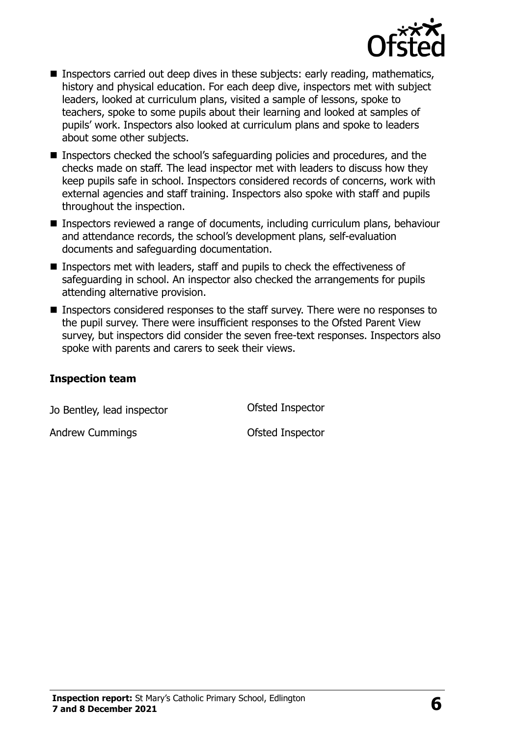

- Inspectors carried out deep dives in these subjects: early reading, mathematics, history and physical education. For each deep dive, inspectors met with subject leaders, looked at curriculum plans, visited a sample of lessons, spoke to teachers, spoke to some pupils about their learning and looked at samples of pupils' work. Inspectors also looked at curriculum plans and spoke to leaders about some other subjects.
- Inspectors checked the school's safeguarding policies and procedures, and the checks made on staff. The lead inspector met with leaders to discuss how they keep pupils safe in school. Inspectors considered records of concerns, work with external agencies and staff training. Inspectors also spoke with staff and pupils throughout the inspection.
- Inspectors reviewed a range of documents, including curriculum plans, behaviour and attendance records, the school's development plans, self-evaluation documents and safeguarding documentation.
- Inspectors met with leaders, staff and pupils to check the effectiveness of safeguarding in school. An inspector also checked the arrangements for pupils attending alternative provision.
- Inspectors considered responses to the staff survey. There were no responses to the pupil survey. There were insufficient responses to the Ofsted Parent View survey, but inspectors did consider the seven free-text responses. Inspectors also spoke with parents and carers to seek their views.

#### **Inspection team**

| Jo Bentley, lead inspector | Ofsted Inspector |
|----------------------------|------------------|
| <b>Andrew Cummings</b>     | Ofsted Inspector |